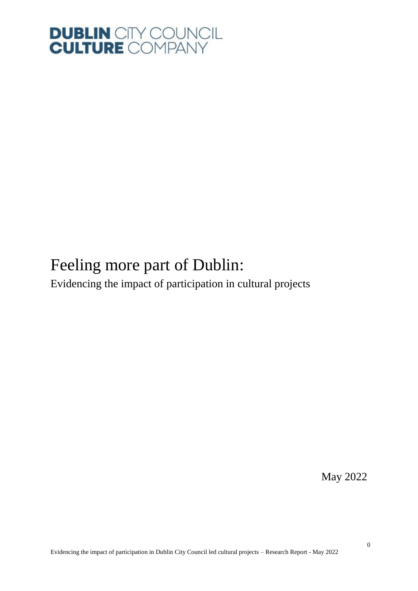

### Feeling more part of Dublin: Evidencing the impact of participation in cultural projects

May 2022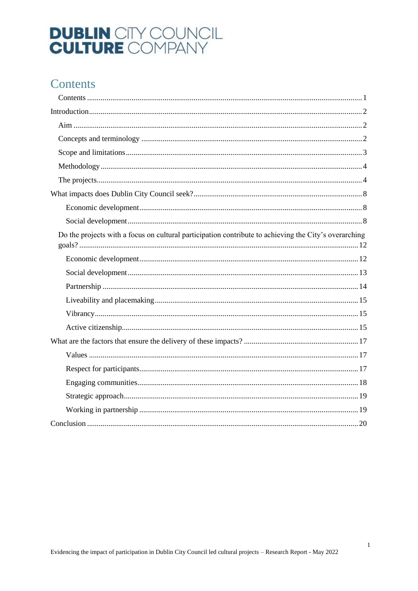### <span id="page-1-0"></span>Contents

| Do the projects with a focus on cultural participation contribute to achieving the City's overarching |
|-------------------------------------------------------------------------------------------------------|
|                                                                                                       |
|                                                                                                       |
|                                                                                                       |
|                                                                                                       |
|                                                                                                       |
|                                                                                                       |
|                                                                                                       |
|                                                                                                       |
|                                                                                                       |
|                                                                                                       |
|                                                                                                       |
|                                                                                                       |
|                                                                                                       |

 $\overline{1}$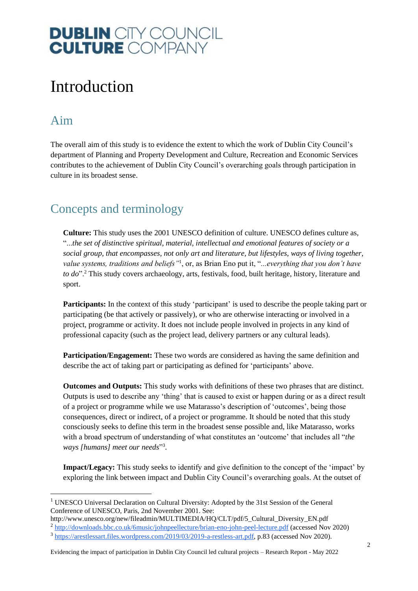### <span id="page-2-0"></span>Introduction

### <span id="page-2-1"></span>Aim

1

The overall aim of this study is to evidence the extent to which the work of Dublin City Council's department of Planning and Property Development and Culture, Recreation and Economic Services contributes to the achievement of Dublin City Council's overarching goals through participation in culture in its broadest sense.

### <span id="page-2-2"></span>Concepts and terminology

**Culture:** This study uses the 2001 UNESCO definition of culture. UNESCO defines culture as, "...*the set of distinctive spiritual, material, intellectual and emotional features of society or a social group, that encompasses, not only art and literature, but lifestyles, ways of living together, value systems, traditions and beliefs"*<sup>1</sup> , or, as Brian Eno put it, "*...everything that you don't have to do*".<sup>2</sup> This study covers archaeology, arts, festivals, food, built heritage, history, literature and sport.

**Participants:** In the context of this study 'participant' is used to describe the people taking part or participating (be that actively or passively), or who are otherwise interacting or involved in a project, programme or activity. It does not include people involved in projects in any kind of professional capacity (such as the project lead, delivery partners or any cultural leads).

**Participation/Engagement:** These two words are considered as having the same definition and describe the act of taking part or participating as defined for 'participants' above.

**Outcomes and Outputs:** This study works with definitions of these two phrases that are distinct. Outputs is used to describe any 'thing' that is caused to exist or happen during or as a direct result of a project or programme while we use Matarasso's description of 'outcomes', being those consequences, direct or indirect, of a project or programme. It should be noted that this study consciously seeks to define this term in the broadest sense possible and, like Matarasso, works with a broad spectrum of understanding of what constitutes an 'outcome' that includes all "*the*  ways [humans] meet our needs"<sup>3</sup>.

**Impact/Legacy:** This study seeks to identify and give definition to the concept of the 'impact' by exploring the link between impact and Dublin City Council's overarching goals. At the outset of

<sup>&</sup>lt;sup>1</sup> UNESCO Universal Declaration on Cultural Diversity: Adopted by the 31st Session of the General Conference of UNESCO, Paris, 2nd November 2001. See:

http://www.unesco.org/new/fileadmin/MULTIMEDIA/HQ/CLT/pdf/5\_Cultural\_Diversity\_EN.pdf <sup>2</sup> <http://downloads.bbc.co.uk/6music/johnpeellecture/brian-eno-john-peel-lecture.pdf> (accessed Nov 2020)

<sup>&</sup>lt;sup>3</sup> [https://arestlessart.files.wordpress.com/2019/03/2019-a-restless-art.pdf,](https://arestlessart.files.wordpress.com/2019/03/2019-a-restless-art.pdf) p.83 (accessed Nov 2020).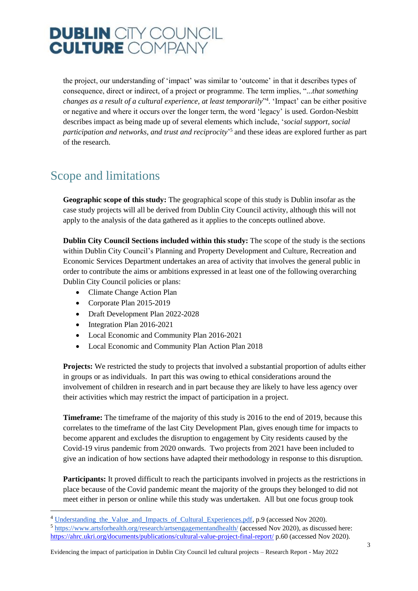the project, our understanding of 'impact' was similar to 'outcome' in that it describes types of consequence, direct or indirect, of a project or programme. The term implies, "*...that something changes as a result of a cultural experience, at least temporarily*" 4 . 'Impact' can be either positive or negative and where it occurs over the longer term, the word 'legacy' is used. Gordon-Nesbitt describes impact as being made up of several elements which include, '*social support, social participation and networks, and trust and reciprocity*' 5 and these ideas are explored further as part of the research.

### <span id="page-3-0"></span>Scope and limitations

**Geographic scope of this study:** The geographical scope of this study is Dublin insofar as the case study projects will all be derived from Dublin City Council activity, although this will not apply to the analysis of the data gathered as it applies to the concepts outlined above.

**Dublin City Council Sections included within this study:** The scope of the study is the sections within Dublin City Council's Planning and Property Development and Culture, Recreation and Economic Services Department undertakes an area of activity that involves the general public in order to contribute the aims or ambitions expressed in at least one of the following overarching Dublin City Council policies or plans:

- Climate Change Action Plan
- Corporate Plan 2015-2019
- Draft Development Plan 2022-2028
- Integration Plan 2016-2021

1

- Local Economic and Community Plan 2016-2021
- Local Economic and Community Plan Action Plan 2018

**Projects:** We restricted the study to projects that involved a substantial proportion of adults either in groups or as individuals. In part this was owing to ethical considerations around the involvement of children in research and in part because they are likely to have less agency over their activities which may restrict the impact of participation in a project.

**Timeframe:** The timeframe of the majority of this study is 2016 to the end of 2019, because this correlates to the timeframe of the last City Development Plan, gives enough time for impacts to become apparent and excludes the disruption to engagement by City residents caused by the Covid-19 virus pandemic from 2020 onwards. Two projects from 2021 have been included to give an indication of how sections have adapted their methodology in response to this disruption.

**Participants:** It proved difficult to reach the participants involved in projects as the restrictions in place because of the Covid pandemic meant the majority of the groups they belonged to did not meet either in person or online while this study was undertaken. All but one focus group took

<sup>&</sup>lt;sup>4</sup> Understanding the Value and Impacts of Cultural Experiences.pdf, p.9 (accessed Nov 2020).

 $<sup>5</sup>$  <https://www.artsforhealth.org/research/artsengagementandhealth/> (accessed Nov 2020), as discussed here:</sup> <https://ahrc.ukri.org/documents/publications/cultural-value-project-final-report/> p.60 (accessed Nov 2020).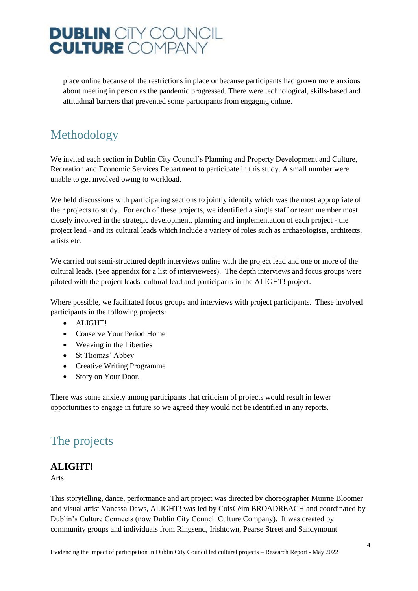place online because of the restrictions in place or because participants had grown more anxious about meeting in person as the pandemic progressed. There were technological, skills-based and attitudinal barriers that prevented some participants from engaging online.

### <span id="page-4-0"></span>Methodology

We invited each section in Dublin City Council's Planning and Property Development and Culture, Recreation and Economic Services Department to participate in this study. A small number were unable to get involved owing to workload.

We held discussions with participating sections to jointly identify which was the most appropriate of their projects to study. For each of these projects, we identified a single staff or team member most closely involved in the strategic development, planning and implementation of each project - the project lead - and its cultural leads which include a variety of roles such as archaeologists, architects, artists etc.

We carried out semi-structured depth interviews online with the project lead and one or more of the cultural leads. (See appendix for a list of interviewees). The depth interviews and focus groups were piloted with the project leads, cultural lead and participants in the ALIGHT! project.

Where possible, we facilitated focus groups and interviews with project participants. These involved participants in the following projects:

- ALIGHT!
- Conserve Your Period Home
- Weaving in the Liberties
- St Thomas' Abbey
- Creative Writing Programme
- Story on Your Door.

There was some anxiety among participants that criticism of projects would result in fewer opportunities to engage in future so we agreed they would not be identified in any reports.

### <span id="page-4-1"></span>The projects

#### **ALIGHT!**

Arts

This storytelling, dance, performance and art project was directed by choreographer Muirne Bloomer and visual artist Vanessa Daws, ALIGHT! was led by CoisCéim BROADREACH and coordinated by Dublin's Culture Connects (now Dublin City Council Culture Company). It was created by community groups and individuals from Ringsend, Irishtown, Pearse Street and Sandymount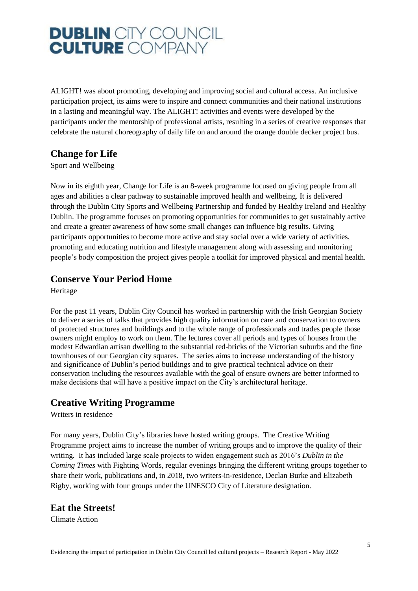ALIGHT! was about promoting, developing and improving social and cultural access. An inclusive participation project, its aims were to inspire and connect communities and their national institutions in a lasting and meaningful way. The ALIGHT! activities and events were developed by the participants under the mentorship of professional artists, resulting in a series of creative responses that celebrate the natural choreography of daily life on and around the orange double decker project bus.

#### **Change for Life**

Sport and Wellbeing

Now in its eighth year, Change for Life is an 8-week programme focused on giving people from all ages and abilities a clear pathway to sustainable improved health and wellbeing. It is delivered through the Dublin City Sports and Wellbeing Partnership and funded by Healthy Ireland and Healthy Dublin. The programme focuses on promoting opportunities for communities to get sustainably active and create a greater awareness of how some small changes can influence big results. Giving participants opportunities to become more active and stay social over a wide variety of activities, promoting and educating nutrition and lifestyle management along with assessing and monitoring people's body composition the project gives people a toolkit for improved physical and mental health.

#### **Conserve Your Period Home**

Heritage

For the past 11 years, Dublin City Council has worked in partnership with the Irish Georgian Society to deliver a series of talks that provides high quality information on care and conservation to owners of protected structures and buildings and to the whole range of professionals and trades people those owners might employ to work on them. The lectures cover all periods and types of houses from the modest Edwardian artisan dwelling to the substantial red-bricks of the Victorian suburbs and the fine townhouses of our Georgian city squares. The series aims to increase understanding of the history and significance of Dublin's period buildings and to give practical technical advice on their conservation including the resources available with the goal of ensure owners are better informed to make decisions that will have a positive impact on the City's architectural heritage.

#### **Creative Writing Programme**

Writers in residence

For many years, Dublin City's libraries have hosted writing groups. The Creative Writing Programme project aims to increase the number of writing groups and to improve the quality of their writing. It has included large scale projects to widen engagement such as 2016's *Dublin in the Coming Times* with Fighting Words, regular evenings bringing the different writing groups together to share their work, publications and, in 2018, two writers-in-residence, Declan Burke and Elizabeth Rigby, working with four groups under the UNESCO City of Literature designation.

#### **Eat the Streets!**

Climate Action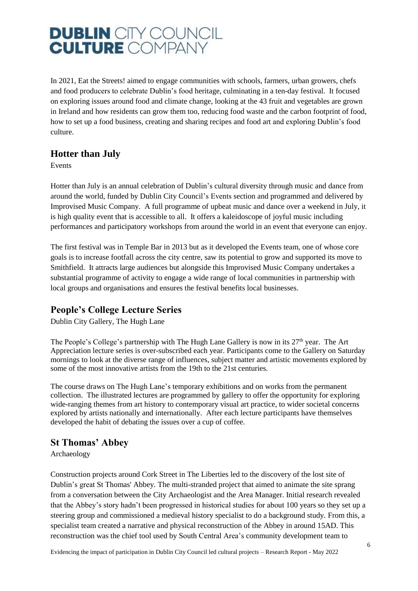In 2021, Eat the Streets! aimed to engage communities with schools, farmers, urban growers, chefs and food producers to celebrate Dublin's food heritage, culminating in a ten-day festival. It focused on exploring issues around food and climate change, looking at the 43 fruit and vegetables are grown in Ireland and how residents can grow them too, reducing food waste and the carbon footprint of food, how to set up a food business, creating and sharing recipes and food art and exploring Dublin's food culture.

#### **Hotter than July**

Events

Hotter than July is an annual celebration of Dublin's cultural diversity through music and dance from around the world, funded by Dublin City Council's Events section and programmed and delivered by Improvised Music Company. A full programme of upbeat music and dance over a weekend in July, it is high quality event that is accessible to all. It offers a kaleidoscope of joyful music including performances and participatory workshops from around the world in an event that everyone can enjoy.

The first festival was in Temple Bar in 2013 but as it developed the Events team, one of whose core goals is to increase footfall across the city centre, saw its potential to grow and supported its move to Smithfield. It attracts large audiences but alongside this Improvised Music Company undertakes a substantial programme of activity to engage a wide range of local communities in partnership with local groups and organisations and ensures the festival benefits local businesses.

#### **People's College Lecture Series**

Dublin City Gallery, The Hugh Lane

The People's College's partnership with The Hugh Lane Gallery is now in its  $27<sup>th</sup>$  year. The Art Appreciation lecture series is over-subscribed each year. Participants come to the Gallery on Saturday mornings to look at the diverse range of influences, subject matter and artistic movements explored by some of the most innovative artists from the 19th to the 21st centuries.

The course draws on The Hugh Lane's temporary exhibitions and on works from the permanent collection. The illustrated lectures are programmed by gallery to offer the opportunity for exploring wide-ranging themes from art history to contemporary visual art practice, to wider societal concerns explored by artists nationally and internationally. After each lecture participants have themselves developed the habit of debating the issues over a cup of coffee.

#### **St Thomas' Abbey**

Archaeology

Construction projects around Cork Street in The Liberties led to the discovery of the lost site of Dublin's great St Thomas' Abbey. The multi-stranded project that aimed to animate the site sprang from a conversation between the City Archaeologist and the Area Manager. Initial research revealed that the Abbey's story hadn't been progressed in historical studies for about 100 years so they set up a steering group and commissioned a medieval history specialist to do a background study. From this, a specialist team created a narrative and physical reconstruction of the Abbey in around 15AD. This reconstruction was the chief tool used by South Central Area's community development team to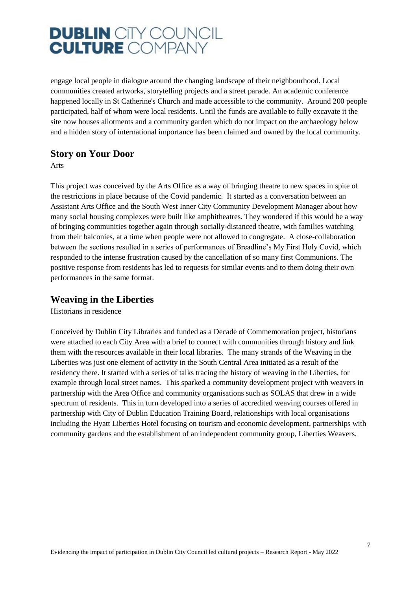engage local people in dialogue around the changing landscape of their neighbourhood. Local communities created artworks, storytelling projects and a street parade. An academic conference happened locally in St Catherine's Church and made accessible to the community. Around 200 people participated, half of whom were local residents. Until the funds are available to fully excavate it the site now houses allotments and a community garden which do not impact on the archaeology below and a hidden story of international importance has been claimed and owned by the local community.

#### **Story on Your Door**

Arts

This project was conceived by the Arts Office as a way of bringing theatre to new spaces in spite of the restrictions in place because of the Covid pandemic. It started as a conversation between an Assistant Arts Office and the South West Inner City Community Development Manager about how many social housing complexes were built like amphitheatres. They wondered if this would be a way of bringing communities together again through socially-distanced theatre, with families watching from their balconies, at a time when people were not allowed to congregate. A close-collaboration between the sections resulted in a series of performances of Breadline's My First Holy Covid, which responded to the intense frustration caused by the cancellation of so many first Communions. The positive response from residents has led to requests for similar events and to them doing their own performances in the same format.

#### **Weaving in the Liberties**

Historians in residence

Conceived by Dublin City Libraries and funded as a Decade of Commemoration project, historians were attached to each City Area with a brief to connect with communities through history and link them with the resources available in their local libraries. The many strands of the Weaving in the Liberties was just one element of activity in the South Central Area initiated as a result of the residency there. It started with a series of talks tracing the history of weaving in the Liberties, for example through local street names. This sparked a community development project with weavers in partnership with the Area Office and community organisations such as SOLAS that drew in a wide spectrum of residents. This in turn developed into a series of accredited weaving courses offered in partnership with City of Dublin Education Training Board, relationships with local organisations including the Hyatt Liberties Hotel focusing on tourism and economic development, partnerships with community gardens and the establishment of an independent community group, Liberties Weavers.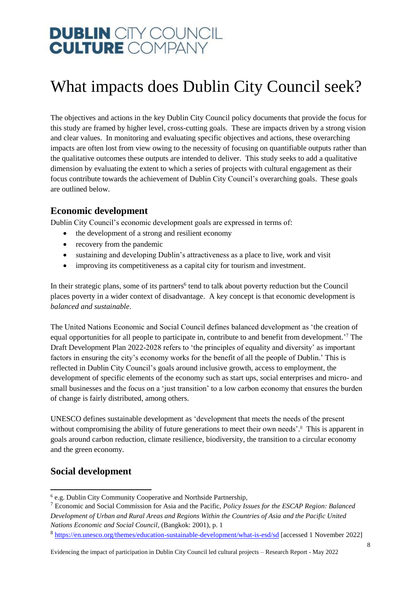### <span id="page-8-0"></span>What impacts does Dublin City Council seek?

The objectives and actions in the key Dublin City Council policy documents that provide the focus for this study are framed by higher level, cross-cutting goals. These are impacts driven by a strong vision and clear values. In monitoring and evaluating specific objectives and actions, these overarching impacts are often lost from view owing to the necessity of focusing on quantifiable outputs rather than the qualitative outcomes these outputs are intended to deliver. This study seeks to add a qualitative dimension by evaluating the extent to which a series of projects with cultural engagement as their focus contribute towards the achievement of Dublin City Council's overarching goals. These goals are outlined below.

#### <span id="page-8-1"></span>**Economic development**

Dublin City Council's economic development goals are expressed in terms of:

- the development of a strong and resilient economy
- recovery from the pandemic
- sustaining and developing Dublin's attractiveness as a place to live, work and visit
- improving its competitiveness as a capital city for tourism and investment.

In their strategic plans, some of its partners<sup>6</sup> tend to talk about poverty reduction but the Council places poverty in a wider context of disadvantage. A key concept is that economic development is *balanced and sustainable*.

The United Nations Economic and Social Council defines balanced development as 'the creation of equal opportunities for all people to participate in, contribute to and benefit from development.<sup>7</sup> The Draft Development Plan 2022-2028 refers to 'the principles of equality and diversity' as important factors in ensuring the city's economy works for the benefit of all the people of Dublin.' This is reflected in Dublin City Council's goals around inclusive growth, access to employment, the development of specific elements of the economy such as start ups, social enterprises and micro- and small businesses and the focus on a 'just transition' to a low carbon economy that ensures the burden of change is fairly distributed, among others.

UNESCO defines sustainable development as 'development that meets the needs of the present without compromising the ability of future generations to meet their own needs'.<sup>8</sup> This is apparent in goals around carbon reduction, climate resilience, biodiversity, the transition to a circular economy and the green economy.

#### <span id="page-8-2"></span>**Social development**

-

<sup>6</sup> e.g. Dublin City Community Cooperative and Northside Partnership,

<sup>7</sup> Economic and Social Commission for Asia and the Pacific, *Policy Issues for the ESCAP Region: Balanced Development of Urban and Rural Areas and Regions Within the Countries of Asia and the Pacific United Nations Economic and Social Council*, (Bangkok: 2001), p. 1

<sup>&</sup>lt;sup>8</sup> <https://en.unesco.org/themes/education-sustainable-development/what-is-esd/sd> [accessed 1 November 2022]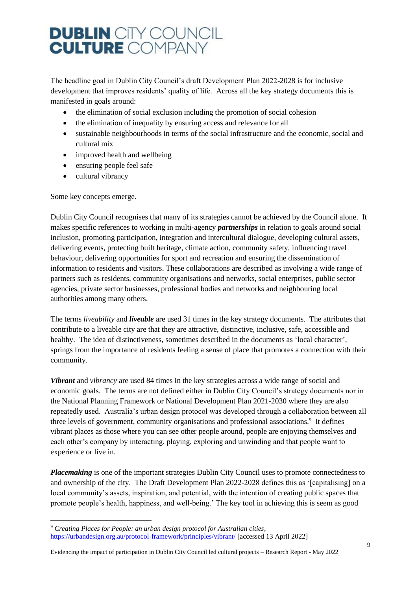The headline goal in Dublin City Council's draft Development Plan 2022-2028 is for inclusive development that improves residents' quality of life. Across all the key strategy documents this is manifested in goals around:

- the elimination of social exclusion including the promotion of social cohesion
- the elimination of inequality by ensuring access and relevance for all
- sustainable neighbourhoods in terms of the social infrastructure and the economic, social and cultural mix
- improved health and wellbeing
- ensuring people feel safe
- cultural vibrancy

Some key concepts emerge.

1

Dublin City Council recognises that many of its strategies cannot be achieved by the Council alone. It makes specific references to working in multi-agency *partnerships* in relation to goals around social inclusion, promoting participation, integration and intercultural dialogue, developing cultural assets, delivering events, protecting built heritage, climate action, community safety, influencing travel behaviour, delivering opportunities for sport and recreation and ensuring the dissemination of information to residents and visitors. These collaborations are described as involving a wide range of partners such as residents, community organisations and networks, social enterprises, public sector agencies, private sector businesses, professional bodies and networks and neighbouring local authorities among many others.

The terms *liveability* and *liveable* are used 31 times in the key strategy documents. The attributes that contribute to a liveable city are that they are attractive, distinctive, inclusive, safe, accessible and healthy. The idea of distinctiveness, sometimes described in the documents as 'local character', springs from the importance of residents feeling a sense of place that promotes a connection with their community.

*Vibrant* and *vibrancy* are used 84 times in the key strategies across a wide range of social and economic goals. The terms are not defined either in Dublin City Council's strategy documents nor in the National Planning Framework or National Development Plan 2021-2030 where they are also repeatedly used. Australia's urban design protocol was developed through a collaboration between all three levels of government, community organisations and professional associations.<sup>9</sup> It defines vibrant places as those where you can see other people around, people are enjoying themselves and each other's company by interacting, playing, exploring and unwinding and that people want to experience or live in.

*Placemaking* is one of the important strategies Dublin City Council uses to promote connectedness to and ownership of the city. The Draft Development Plan 2022-2028 defines this as '[capitalising] on a local community's assets, inspiration, and potential, with the intention of creating public spaces that promote people's health, happiness, and well-being.' The key tool in achieving this is seem as good

<sup>9</sup> *Creating Places for People: an urban design protocol for Australian cities*, <https://urbandesign.org.au/protocol-framework/principles/vibrant/> [accessed 13 April 2022]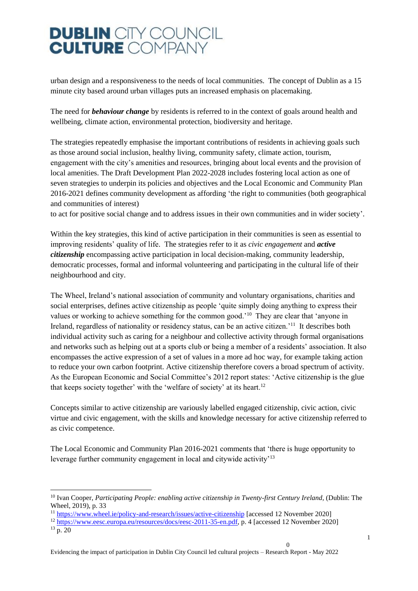urban design and a responsiveness to the needs of local communities. The concept of Dublin as a 15 minute city based around urban villages puts an increased emphasis on placemaking.

The need for *behaviour change* by residents is referred to in the context of goals around health and wellbeing, climate action, environmental protection, biodiversity and heritage.

The strategies repeatedly emphasise the important contributions of residents in achieving goals such as those around social inclusion, healthy living, community safety, climate action, tourism, engagement with the city's amenities and resources, bringing about local events and the provision of local amenities. The Draft Development Plan 2022-2028 includes fostering local action as one of seven strategies to underpin its policies and objectives and the Local Economic and Community Plan 2016-2021 defines community development as affording 'the right to communities (both geographical and communities of interest)

to act for positive social change and to address issues in their own communities and in wider society'.

Within the key strategies, this kind of active participation in their communities is seen as essential to improving residents' quality of life. The strategies refer to it as *civic engagement* and *active citizenship* encompassing active participation in local decision-making, community leadership, democratic processes, formal and informal volunteering and participating in the cultural life of their neighbourhood and city.

The Wheel, Ireland's national association of community and voluntary organisations, charities and social enterprises, defines active citizenship as people 'quite simply doing anything to express their values or working to achieve something for the common good.<sup>'10</sup> They are clear that 'anyone in Ireland, regardless of nationality or residency status, can be an active citizen.<sup>'11</sup> It describes both individual activity such as caring for a neighbour and collective activity through formal organisations and networks such as helping out at a sports club or being a member of a residents' association. It also encompasses the active expression of a set of values in a more ad hoc way, for example taking action to reduce your own carbon footprint. Active citizenship therefore covers a broad spectrum of activity. As the European Economic and Social Committee's 2012 report states: 'Active citizenship is the glue that keeps society together' with the 'welfare of society' at its heart.<sup>12</sup>

Concepts similar to active citizenship are variously labelled engaged citizenship, civic action, civic virtue and civic engagement, with the skills and knowledge necessary for active citizenship referred to as civic competence.

The Local Economic and Community Plan 2016-2021 comments that 'there is huge opportunity to leverage further community engagement in local and citywide activity'<sup>13</sup>

-

 $\Omega$ 

<sup>&</sup>lt;sup>10</sup> Ivan Cooper, *Participating People: enabling active citizenship in Twenty-first Century Ireland, (Dublin: The* Wheel, 2019), p. 33

<sup>11</sup> <https://www.wheel.ie/policy-and-research/issues/active-citizenship> [accessed 12 November 2020]

<sup>12</sup> [https://www.eesc.europa.eu/resources/docs/eesc-2011-35-en.pdf,](https://www.eesc.europa.eu/resources/docs/eesc-2011-35-en.pdf) p. 4 [accessed 12 November 2020]

 $13$  p. 20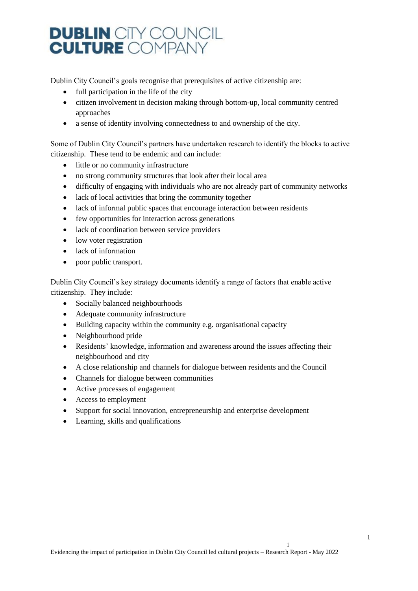Dublin City Council's goals recognise that prerequisites of active citizenship are:

- $\bullet$  full participation in the life of the city
- citizen involvement in decision making through bottom-up, local community centred approaches
- a sense of identity involving connectedness to and ownership of the city.

Some of Dublin City Council's partners have undertaken research to identify the blocks to active citizenship. These tend to be endemic and can include:

- little or no community infrastructure
- no strong community structures that look after their local area
- difficulty of engaging with individuals who are not already part of community networks
- lack of local activities that bring the community together
- lack of informal public spaces that encourage interaction between residents
- few opportunities for interaction across generations
- lack of coordination between service providers
- low voter registration
- lack of information
- poor public transport.

Dublin City Council's key strategy documents identify a range of factors that enable active citizenship. They include:

- Socially balanced neighbourhoods
- Adequate community infrastructure
- Building capacity within the community e.g. organisational capacity
- Neighbourhood pride
- Residents' knowledge, information and awareness around the issues affecting their neighbourhood and city
- A close relationship and channels for dialogue between residents and the Council
- Channels for dialogue between communities
- Active processes of engagement
- Access to employment
- Support for social innovation, entrepreneurship and enterprise development
- Learning, skills and qualifications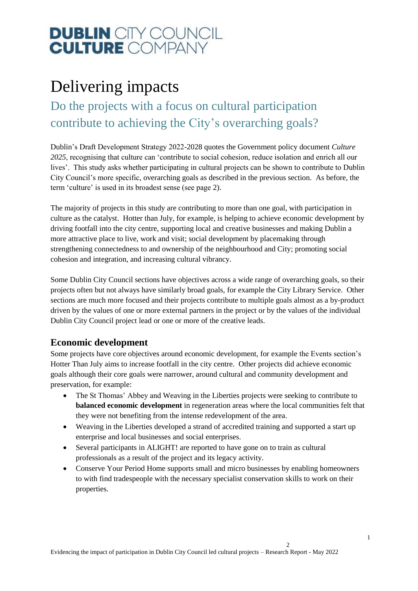### Delivering impacts

<span id="page-12-0"></span>Do the projects with a focus on cultural participation contribute to achieving the City's overarching goals?

Dublin's Draft Development Strategy 2022-2028 quotes the Government policy document *Culture 2025*, recognising that culture can 'contribute to social cohesion, reduce isolation and enrich all our lives'. This study asks whether participating in cultural projects can be shown to contribute to Dublin City Council's more specific, overarching goals as described in the previous section. As before, the term 'culture' is used in its broadest sense (see page [2\)](#page-2-2).

The majority of projects in this study are contributing to more than one goal, with participation in culture as the catalyst. Hotter than July, for example, is helping to achieve economic development by driving footfall into the city centre, supporting local and creative businesses and making Dublin a more attractive place to live, work and visit; social development by placemaking through strengthening connectedness to and ownership of the neighbourhood and City; promoting social cohesion and integration, and increasing cultural vibrancy.

Some Dublin City Council sections have objectives across a wide range of overarching goals, so their projects often but not always have similarly broad goals, for example the City Library Service. Other sections are much more focused and their projects contribute to multiple goals almost as a by-product driven by the values of one or more external partners in the project or by the values of the individual Dublin City Council project lead or one or more of the creative leads.

#### <span id="page-12-1"></span>**Economic development**

Some projects have core objectives around economic development, for example the Events section's Hotter Than July aims to increase footfall in the city centre. Other projects did achieve economic goals although their core goals were narrower, around cultural and community development and preservation, for example:

- The St Thomas' Abbey and Weaving in the Liberties projects were seeking to contribute to **balanced economic development** in regeneration areas where the local communities felt that they were not benefiting from the intense redevelopment of the area.
- Weaving in the Liberties developed a strand of accredited training and supported a start up enterprise and local businesses and social enterprises.
- Several participants in ALIGHT! are reported to have gone on to train as cultural professionals as a result of the project and its legacy activity.
- Conserve Your Period Home supports small and micro businesses by enabling homeowners to with find tradespeople with the necessary specialist conservation skills to work on their properties.

 $\mathcal{L}$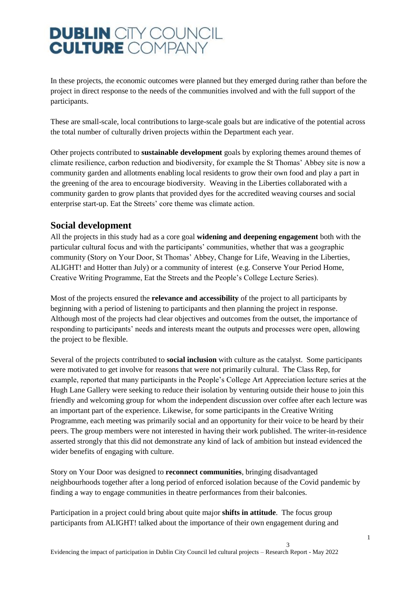In these projects, the economic outcomes were planned but they emerged during rather than before the project in direct response to the needs of the communities involved and with the full support of the participants.

These are small-scale, local contributions to large-scale goals but are indicative of the potential across the total number of culturally driven projects within the Department each year.

Other projects contributed to **sustainable development** goals by exploring themes around themes of climate resilience, carbon reduction and biodiversity, for example the St Thomas' Abbey site is now a community garden and allotments enabling local residents to grow their own food and play a part in the greening of the area to encourage biodiversity. Weaving in the Liberties collaborated with a community garden to grow plants that provided dyes for the accredited weaving courses and social enterprise start-up. Eat the Streets' core theme was climate action.

#### <span id="page-13-0"></span>**Social development**

All the projects in this study had as a core goal **widening and deepening engagement** both with the particular cultural focus and with the participants' communities, whether that was a geographic community (Story on Your Door, St Thomas' Abbey, Change for Life, Weaving in the Liberties, ALIGHT! and Hotter than July) or a community of interest (e.g. Conserve Your Period Home, Creative Writing Programme, Eat the Streets and the People's College Lecture Series).

Most of the projects ensured the **relevance and accessibility** of the project to all participants by beginning with a period of listening to participants and then planning the project in response. Although most of the projects had clear objectives and outcomes from the outset, the importance of responding to participants' needs and interests meant the outputs and processes were open, allowing the project to be flexible.

Several of the projects contributed to **social inclusion** with culture as the catalyst. Some participants were motivated to get involve for reasons that were not primarily cultural. The Class Rep, for example, reported that many participants in the People's College Art Appreciation lecture series at the Hugh Lane Gallery were seeking to reduce their isolation by venturing outside their house to join this friendly and welcoming group for whom the independent discussion over coffee after each lecture was an important part of the experience. Likewise, for some participants in the Creative Writing Programme, each meeting was primarily social and an opportunity for their voice to be heard by their peers. The group members were not interested in having their work published. The writer-in-residence asserted strongly that this did not demonstrate any kind of lack of ambition but instead evidenced the wider benefits of engaging with culture.

Story on Your Door was designed to **reconnect communities**, bringing disadvantaged neighbourhoods together after a long period of enforced isolation because of the Covid pandemic by finding a way to engage communities in theatre performances from their balconies.

Participation in a project could bring about quite major **shifts in attitude**. The focus group participants from ALIGHT! talked about the importance of their own engagement during and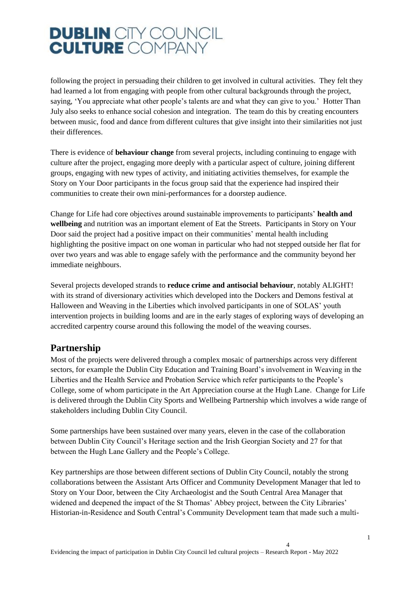following the project in persuading their children to get involved in cultural activities. They felt they had learned a lot from engaging with people from other cultural backgrounds through the project, saying, 'You appreciate what other people's talents are and what they can give to you.' Hotter Than July also seeks to enhance social cohesion and integration. The team do this by creating encounters between music, food and dance from different cultures that give insight into their similarities not just their differences.

There is evidence of **behaviour change** from several projects, including continuing to engage with culture after the project, engaging more deeply with a particular aspect of culture, joining different groups, engaging with new types of activity, and initiating activities themselves, for example the Story on Your Door participants in the focus group said that the experience had inspired their communities to create their own mini-performances for a doorstep audience.

Change for Life had core objectives around sustainable improvements to participants' **health and wellbeing** and nutrition was an important element of Eat the Streets. Participants in Story on Your Door said the project had a positive impact on their communities' mental health including highlighting the positive impact on one woman in particular who had not stepped outside her flat for over two years and was able to engage safely with the performance and the community beyond her immediate neighbours.

Several projects developed strands to **reduce crime and antisocial behaviour**, notably ALIGHT! with its strand of diversionary activities which developed into the Dockers and Demons festival at Halloween and Weaving in the Liberties which involved participants in one of SOLAS' youth intervention projects in building looms and are in the early stages of exploring ways of developing an accredited carpentry course around this following the model of the weaving courses.

#### <span id="page-14-0"></span>**Partnership**

Most of the projects were delivered through a complex mosaic of partnerships across very different sectors, for example the Dublin City Education and Training Board's involvement in Weaving in the Liberties and the Health Service and Probation Service which refer participants to the People's College, some of whom participate in the Art Appreciation course at the Hugh Lane. Change for Life is delivered through the Dublin City Sports and Wellbeing Partnership which involves a wide range of stakeholders including Dublin City Council.

Some partnerships have been sustained over many years, eleven in the case of the collaboration between Dublin City Council's Heritage section and the Irish Georgian Society and 27 for that between the Hugh Lane Gallery and the People's College.

Key partnerships are those between different sections of Dublin City Council, notably the strong collaborations between the Assistant Arts Officer and Community Development Manager that led to Story on Your Door, between the City Archaeologist and the South Central Area Manager that widened and deepened the impact of the St Thomas' Abbey project, between the City Libraries' Historian-in-Residence and South Central's Community Development team that made such a multi-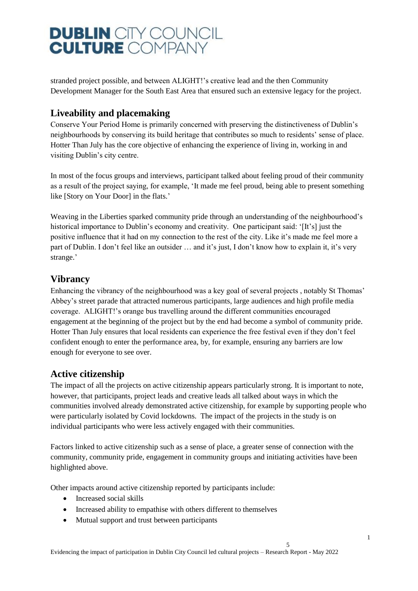stranded project possible, and between ALIGHT!'s creative lead and the then Community Development Manager for the South East Area that ensured such an extensive legacy for the project.

#### <span id="page-15-0"></span>**Liveability and placemaking**

Conserve Your Period Home is primarily concerned with preserving the distinctiveness of Dublin's neighbourhoods by conserving its build heritage that contributes so much to residents' sense of place. Hotter Than July has the core objective of enhancing the experience of living in, working in and visiting Dublin's city centre.

In most of the focus groups and interviews, participant talked about feeling proud of their community as a result of the project saying, for example, 'It made me feel proud, being able to present something like [Story on Your Door] in the flats.'

Weaving in the Liberties sparked community pride through an understanding of the neighbourhood's historical importance to Dublin's economy and creativity. One participant said: '[It's] just the positive influence that it had on my connection to the rest of the city. Like it's made me feel more a part of Dublin. I don't feel like an outsider … and it's just, I don't know how to explain it, it's very strange.'

#### <span id="page-15-1"></span>**Vibrancy**

Enhancing the vibrancy of the neighbourhood was a key goal of several projects , notably St Thomas' Abbey's street parade that attracted numerous participants, large audiences and high profile media coverage. ALIGHT!'s orange bus travelling around the different communities encouraged engagement at the beginning of the project but by the end had become a symbol of community pride. Hotter Than July ensures that local residents can experience the free festival even if they don't feel confident enough to enter the performance area, by, for example, ensuring any barriers are low enough for everyone to see over.

#### <span id="page-15-2"></span>**Active citizenship**

The impact of all the projects on active citizenship appears particularly strong. It is important to note, however, that participants, project leads and creative leads all talked about ways in which the communities involved already demonstrated active citizenship, for example by supporting people who were particularly isolated by Covid lockdowns. The impact of the projects in the study is on individual participants who were less actively engaged with their communities.

Factors linked to active citizenship such as a sense of place, a greater sense of connection with the community, community pride, engagement in community groups and initiating activities have been highlighted above.

Other impacts around active citizenship reported by participants include:

- Increased social skills
- Increased ability to empathise with others different to themselves
- Mutual support and trust between participants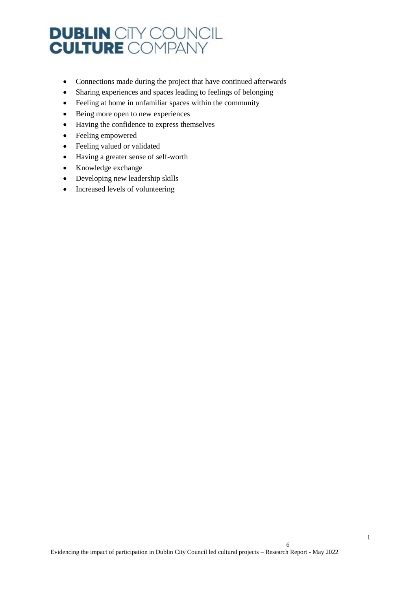- Connections made during the project that have continued afterwards
- Sharing experiences and spaces leading to feelings of belonging
- Feeling at home in unfamiliar spaces within the community
- Being more open to new experiences
- Having the confidence to express themselves
- Feeling empowered
- Feeling valued or validated
- Having a greater sense of self-worth
- Knowledge exchange
- Developing new leadership skills
- Increased levels of volunteering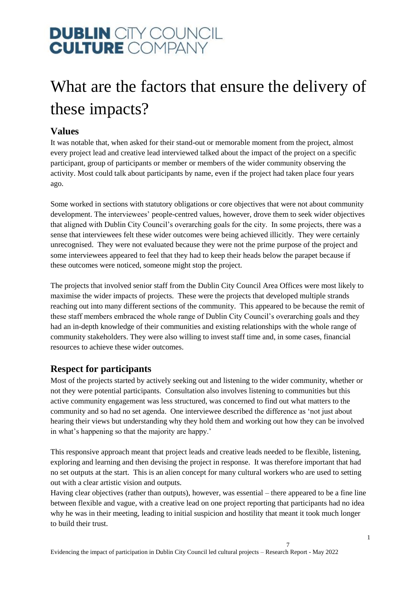### <span id="page-17-0"></span>What are the factors that ensure the delivery of these impacts?

#### <span id="page-17-1"></span>**Values**

It was notable that, when asked for their stand-out or memorable moment from the project, almost every project lead and creative lead interviewed talked about the impact of the project on a specific participant, group of participants or member or members of the wider community observing the activity. Most could talk about participants by name, even if the project had taken place four years ago.

Some worked in sections with statutory obligations or core objectives that were not about community development. The interviewees' people-centred values, however, drove them to seek wider objectives that aligned with Dublin City Council's overarching goals for the city. In some projects, there was a sense that interviewees felt these wider outcomes were being achieved illicitly. They were certainly unrecognised. They were not evaluated because they were not the prime purpose of the project and some interviewees appeared to feel that they had to keep their heads below the parapet because if these outcomes were noticed, someone might stop the project.

The projects that involved senior staff from the Dublin City Council Area Offices were most likely to maximise the wider impacts of projects. These were the projects that developed multiple strands reaching out into many different sections of the community. This appeared to be because the remit of these staff members embraced the whole range of Dublin City Council's overarching goals and they had an in-depth knowledge of their communities and existing relationships with the whole range of community stakeholders. They were also willing to invest staff time and, in some cases, financial resources to achieve these wider outcomes.

#### <span id="page-17-2"></span>**Respect for participants**

Most of the projects started by actively seeking out and listening to the wider community, whether or not they were potential participants. Consultation also involves listening to communities but this active community engagement was less structured, was concerned to find out what matters to the community and so had no set agenda. One interviewee described the difference as 'not just about hearing their views but understanding why they hold them and working out how they can be involved in what's happening so that the majority are happy.'

This responsive approach meant that project leads and creative leads needed to be flexible, listening, exploring and learning and then devising the project in response. It was therefore important that had no set outputs at the start. This is an alien concept for many cultural workers who are used to setting out with a clear artistic vision and outputs.

Having clear objectives (rather than outputs), however, was essential – there appeared to be a fine line between flexible and vague, with a creative lead on one project reporting that participants had no idea why he was in their meeting, leading to initial suspicion and hostility that meant it took much longer to build their trust.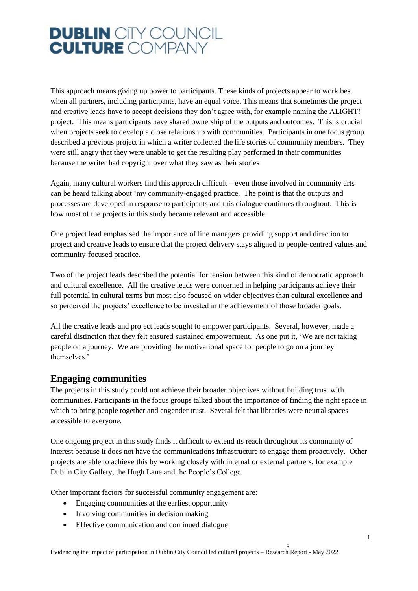This approach means giving up power to participants. These kinds of projects appear to work best when all partners, including participants, have an equal voice. This means that sometimes the project and creative leads have to accept decisions they don't agree with, for example naming the ALIGHT! project. This means participants have shared ownership of the outputs and outcomes. This is crucial when projects seek to develop a close relationship with communities. Participants in one focus group described a previous project in which a writer collected the life stories of community members. They were still angry that they were unable to get the resulting play performed in their communities because the writer had copyright over what they saw as their stories

Again, many cultural workers find this approach difficult – even those involved in community arts can be heard talking about 'my community-engaged practice. The point is that the outputs and processes are developed in response to participants and this dialogue continues throughout. This is how most of the projects in this study became relevant and accessible.

One project lead emphasised the importance of line managers providing support and direction to project and creative leads to ensure that the project delivery stays aligned to people-centred values and community-focused practice.

Two of the project leads described the potential for tension between this kind of democratic approach and cultural excellence. All the creative leads were concerned in helping participants achieve their full potential in cultural terms but most also focused on wider objectives than cultural excellence and so perceived the projects' excellence to be invested in the achievement of those broader goals.

All the creative leads and project leads sought to empower participants. Several, however, made a careful distinction that they felt ensured sustained empowerment. As one put it, 'We are not taking people on a journey. We are providing the motivational space for people to go on a journey themselves.'

#### <span id="page-18-0"></span>**Engaging communities**

The projects in this study could not achieve their broader objectives without building trust with communities. Participants in the focus groups talked about the importance of finding the right space in which to bring people together and engender trust. Several felt that libraries were neutral spaces accessible to everyone.

One ongoing project in this study finds it difficult to extend its reach throughout its community of interest because it does not have the communications infrastructure to engage them proactively. Other projects are able to achieve this by working closely with internal or external partners, for example Dublin City Gallery, the Hugh Lane and the People's College.

Other important factors for successful community engagement are:

- Engaging communities at the earliest opportunity
- Involving communities in decision making
- Effective communication and continued dialogue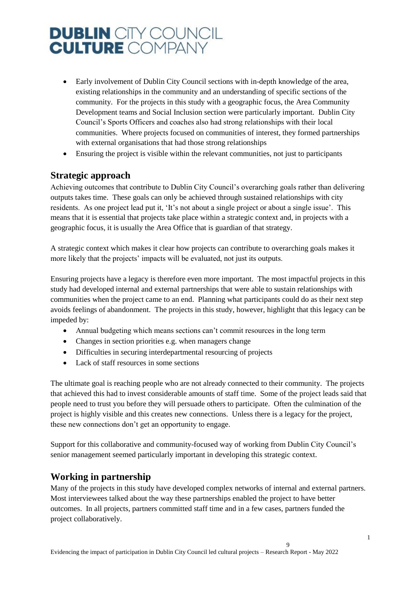- Early involvement of Dublin City Council sections with in-depth knowledge of the area, existing relationships in the community and an understanding of specific sections of the community. For the projects in this study with a geographic focus, the Area Community Development teams and Social Inclusion section were particularly important. Dublin City Council's Sports Officers and coaches also had strong relationships with their local communities. Where projects focused on communities of interest, they formed partnerships with external organisations that had those strong relationships
- Ensuring the project is visible within the relevant communities, not just to participants

#### <span id="page-19-0"></span>**Strategic approach**

Achieving outcomes that contribute to Dublin City Council's overarching goals rather than delivering outputs takes time. These goals can only be achieved through sustained relationships with city residents. As one project lead put it, 'It's not about a single project or about a single issue'. This means that it is essential that projects take place within a strategic context and, in projects with a geographic focus, it is usually the Area Office that is guardian of that strategy.

A strategic context which makes it clear how projects can contribute to overarching goals makes it more likely that the projects' impacts will be evaluated, not just its outputs.

Ensuring projects have a legacy is therefore even more important. The most impactful projects in this study had developed internal and external partnerships that were able to sustain relationships with communities when the project came to an end. Planning what participants could do as their next step avoids feelings of abandonment. The projects in this study, however, highlight that this legacy can be impeded by:

- Annual budgeting which means sections can't commit resources in the long term
- Changes in section priorities e.g. when managers change
- Difficulties in securing interdepartmental resourcing of projects
- Lack of staff resources in some sections

The ultimate goal is reaching people who are not already connected to their community. The projects that achieved this had to invest considerable amounts of staff time. Some of the project leads said that people need to trust you before they will persuade others to participate. Often the culmination of the project is highly visible and this creates new connections. Unless there is a legacy for the project, these new connections don't get an opportunity to engage.

Support for this collaborative and community-focused way of working from Dublin City Council's senior management seemed particularly important in developing this strategic context.

#### <span id="page-19-1"></span>**Working in partnership**

Many of the projects in this study have developed complex networks of internal and external partners. Most interviewees talked about the way these partnerships enabled the project to have better outcomes. In all projects, partners committed staff time and in a few cases, partners funded the project collaboratively.

 $\overline{Q}$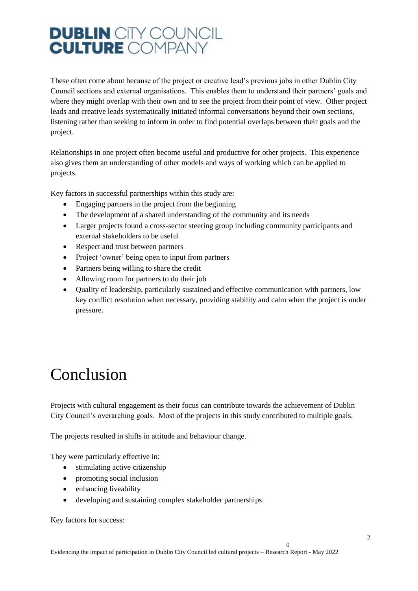These often come about because of the project or creative lead's previous jobs in other Dublin City Council sections and external organisations. This enables them to understand their partners' goals and where they might overlap with their own and to see the project from their point of view. Other project leads and creative leads systematically initiated informal conversations beyond their own sections, listening rather than seeking to inform in order to find potential overlaps between their goals and the project.

Relationships in one project often become useful and productive for other projects. This experience also gives them an understanding of other models and ways of working which can be applied to projects.

Key factors in successful partnerships within this study are:

- Engaging partners in the project from the beginning
- The development of a shared understanding of the community and its needs
- Larger projects found a cross-sector steering group including community participants and external stakeholders to be useful
- Respect and trust between partners
- Project 'owner' being open to input from partners
- Partners being willing to share the credit
- Allowing room for partners to do their job
- Quality of leadership, particularly sustained and effective communication with partners, low key conflict resolution when necessary, providing stability and calm when the project is under pressure.

### <span id="page-20-0"></span>Conclusion

Projects with cultural engagement as their focus can contribute towards the achievement of Dublin City Council's overarching goals. Most of the projects in this study contributed to multiple goals.

The projects resulted in shifts in attitude and behaviour change.

They were particularly effective in:

- stimulating active citizenship
- promoting social inclusion
- enhancing liveability
- developing and sustaining complex stakeholder partnerships.

Key factors for success:

 $\Omega$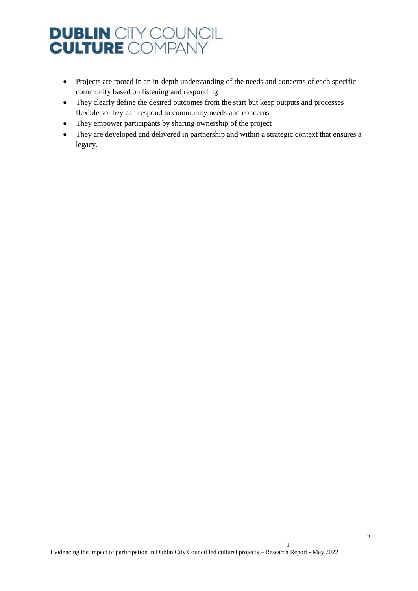- Projects are rooted in an in-depth understanding of the needs and concerns of each specific community based on listening and responding
- They clearly define the desired outcomes from the start but keep outputs and processes flexible so they can respond to community needs and concerns
- They empower participants by sharing ownership of the project
- They are developed and delivered in partnership and within a strategic context that ensures a legacy.